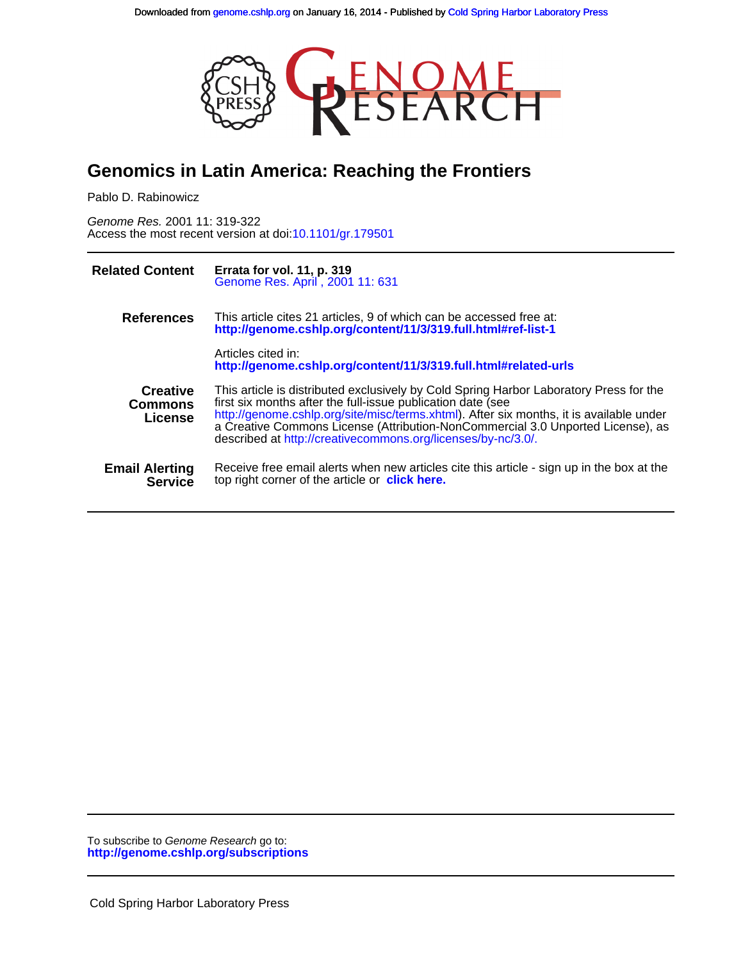

## **Genomics in Latin America: Reaching the Frontiers**

Pablo D. Rabinowicz

Access the most recent version at doi[:10.1101/gr.179501](http://genome.cshlp.org/lookup/doi/10.1101/gr.179501) Genome Res. 2001 11: 319-322

| <b>Related Content</b>                              | Errata for vol. 11, p. 319<br>Genome Res. April, 2001 11: 631                                                                                                                                                                                                                                                                                                                                       |
|-----------------------------------------------------|-----------------------------------------------------------------------------------------------------------------------------------------------------------------------------------------------------------------------------------------------------------------------------------------------------------------------------------------------------------------------------------------------------|
| <b>References</b>                                   | This article cites 21 articles, 9 of which can be accessed free at:<br>http://genome.cshlp.org/content/11/3/319.full.html#ref-list-1                                                                                                                                                                                                                                                                |
|                                                     | Articles cited in:<br>http://genome.cshlp.org/content/11/3/319.full.html#related-urls                                                                                                                                                                                                                                                                                                               |
| <b>Creative</b><br><b>Commons</b><br><b>License</b> | This article is distributed exclusively by Cold Spring Harbor Laboratory Press for the<br>first six months after the full-issue publication date (see<br>http://genome.cshlp.org/site/misc/terms.xhtml). After six months, it is available under<br>a Creative Commons License (Attribution-NonCommercial 3.0 Unported License), as<br>described at http://creativecommons.org/licenses/by-nc/3.0/. |
| <b>Email Alerting</b><br><b>Service</b>             | Receive free email alerts when new articles cite this article - sign up in the box at the<br>top right corner of the article or click here.                                                                                                                                                                                                                                                         |

**<http://genome.cshlp.org/subscriptions>** To subscribe to Genome Research go to: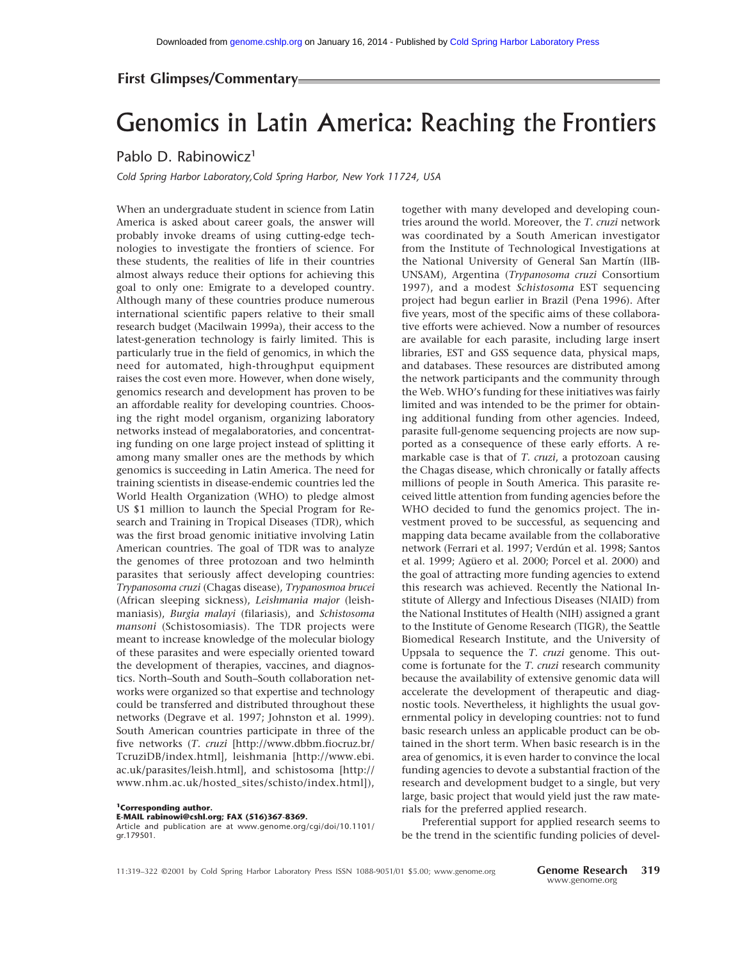### **First Glimpses/Commentary**

# Genomics in Latin America: Reaching the Frontiers

## Pablo D. Rabinowicz<sup>1</sup>

*Cold Spring Harbor Laboratory,Cold Spring Harbor, New York 11724, USA*

When an undergraduate student in science from Latin America is asked about career goals, the answer will probably invoke dreams of using cutting-edge technologies to investigate the frontiers of science. For these students, the realities of life in their countries almost always reduce their options for achieving this goal to only one: Emigrate to a developed country. Although many of these countries produce numerous international scientific papers relative to their small research budget (Macilwain 1999a), their access to the latest-generation technology is fairly limited. This is particularly true in the field of genomics, in which the need for automated, high-throughput equipment raises the cost even more. However, when done wisely, genomics research and development has proven to be an affordable reality for developing countries. Choosing the right model organism, organizing laboratory networks instead of megalaboratories, and concentrating funding on one large project instead of splitting it among many smaller ones are the methods by which genomics is succeeding in Latin America. The need for training scientists in disease-endemic countries led the World Health Organization (WHO) to pledge almost US \$1 million to launch the Special Program for Research and Training in Tropical Diseases (TDR), which was the first broad genomic initiative involving Latin American countries. The goal of TDR was to analyze the genomes of three protozoan and two helminth parasites that seriously affect developing countries: *Trypanosoma cruzi* (Chagas disease), *Trypanosmoa brucei* (African sleeping sickness), *Leishmania major* (leishmaniasis), *Burgia malayi* (filariasis), and *Schistosoma mansoni* (Schistosomiasis). The TDR projects were meant to increase knowledge of the molecular biology of these parasites and were especially oriented toward the development of therapies, vaccines, and diagnostics. North–South and South–South collaboration networks were organized so that expertise and technology could be transferred and distributed throughout these networks (Degrave et al. 1997; Johnston et al. 1999). South American countries participate in three of the five networks (*T. cruzi* [http://www.dbbm.fiocruz.br/ TcruziDB/index.html], leishmania [http://www.ebi. ac.uk/parasites/leish.html], and schistosoma [http:// www.nhm.ac.uk/hosted\_sites/schisto/index.html]),

**1Corresponding author.**

**E-MAIL rabinowi@cshl.org; FAX (516)367-8369.**

Article and publication are at www.genome.org/cgi/doi/10.1101/ gr.179501.

together with many developed and developing countries around the world. Moreover, the *T. cruzi* network was coordinated by a South American investigator from the Institute of Technological Investigations at the National University of General San Martín (IIB-UNSAM), Argentina (*Trypanosoma cruzi* Consortium 1997), and a modest *Schistosoma* EST sequencing project had begun earlier in Brazil (Pena 1996). After five years, most of the specific aims of these collaborative efforts were achieved. Now a number of resources are available for each parasite, including large insert libraries, EST and GSS sequence data, physical maps, and databases. These resources are distributed among the network participants and the community through the Web. WHO's funding for these initiatives was fairly limited and was intended to be the primer for obtaining additional funding from other agencies. Indeed, parasite full-genome sequencing projects are now supported as a consequence of these early efforts. A remarkable case is that of *T. cruzi*, a protozoan causing the Chagas disease, which chronically or fatally affects millions of people in South America. This parasite received little attention from funding agencies before the WHO decided to fund the genomics project. The investment proved to be successful, as sequencing and mapping data became available from the collaborative network (Ferrari et al. 1997; Verdún et al. 1998; Santos et al. 1999; Agüero et al. 2000; Porcel et al. 2000) and the goal of attracting more funding agencies to extend this research was achieved. Recently the National Institute of Allergy and Infectious Diseases (NIAID) from the National Institutes of Health (NIH) assigned a grant to the Institute of Genome Research (TIGR), the Seattle Biomedical Research Institute, and the University of Uppsala to sequence the *T. cruzi* genome. This outcome is fortunate for the *T. cruzi* research community because the availability of extensive genomic data will accelerate the development of therapeutic and diagnostic tools. Nevertheless, it highlights the usual governmental policy in developing countries: not to fund basic research unless an applicable product can be obtained in the short term. When basic research is in the area of genomics, it is even harder to convince the local funding agencies to devote a substantial fraction of the research and development budget to a single, but very large, basic project that would yield just the raw materials for the preferred applied research.

Preferential support for applied research seems to be the trend in the scientific funding policies of devel-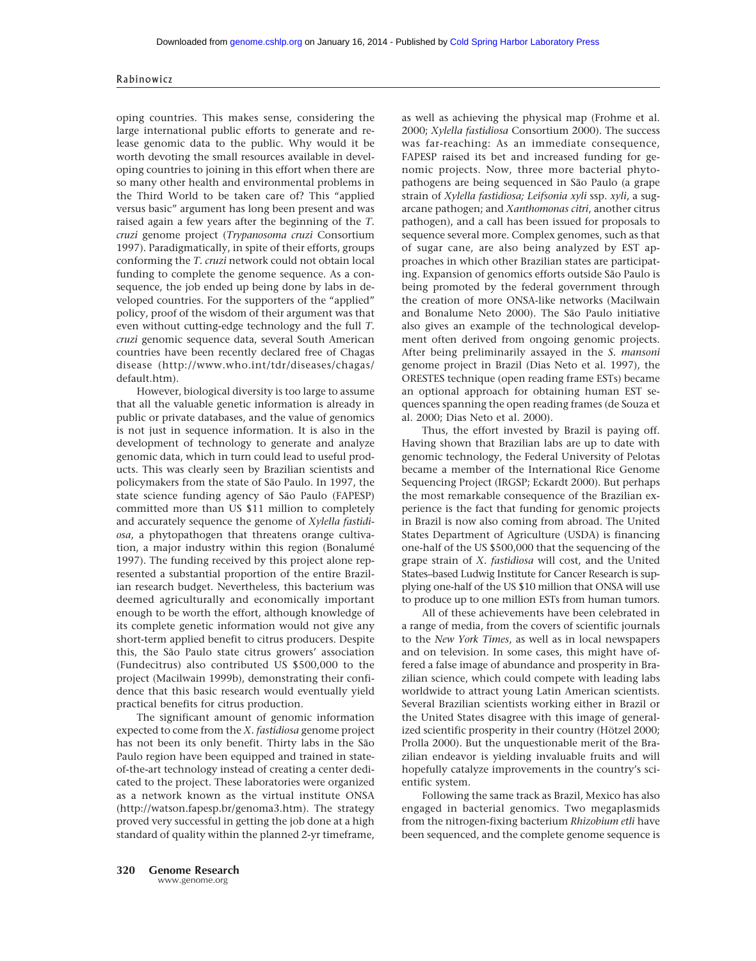#### Rabinowicz

oping countries. This makes sense, considering the large international public efforts to generate and release genomic data to the public. Why would it be worth devoting the small resources available in developing countries to joining in this effort when there are so many other health and environmental problems in the Third World to be taken care of? This "applied versus basic" argument has long been present and was raised again a few years after the beginning of the *T. cruzi* genome project (*Trypanosoma cruzi* Consortium 1997). Paradigmatically, in spite of their efforts, groups conforming the *T. cruzi* network could not obtain local funding to complete the genome sequence. As a consequence, the job ended up being done by labs in developed countries. For the supporters of the "applied" policy, proof of the wisdom of their argument was that even without cutting-edge technology and the full *T. cruzi* genomic sequence data, several South American countries have been recently declared free of Chagas disease (http://www.who.int/tdr/diseases/chagas/ default.htm).

However, biological diversity is too large to assume that all the valuable genetic information is already in public or private databases, and the value of genomics is not just in sequence information. It is also in the development of technology to generate and analyze genomic data, which in turn could lead to useful products. This was clearly seen by Brazilian scientists and policymakers from the state of São Paulo. In 1997, the state science funding agency of São Paulo (FAPESP) committed more than US \$11 million to completely and accurately sequence the genome of *Xylella fastidiosa*, a phytopathogen that threatens orange cultivation, a major industry within this region (Bonalumé 1997). The funding received by this project alone represented a substantial proportion of the entire Brazilian research budget. Nevertheless, this bacterium was deemed agriculturally and economically important enough to be worth the effort, although knowledge of its complete genetic information would not give any short-term applied benefit to citrus producers. Despite this, the São Paulo state citrus growers' association (Fundecitrus) also contributed US \$500,000 to the project (Macilwain 1999b), demonstrating their confidence that this basic research would eventually yield practical benefits for citrus production.

The significant amount of genomic information expected to come from the *X. fastidiosa* genome project has not been its only benefit. Thirty labs in the São Paulo region have been equipped and trained in stateof-the-art technology instead of creating a center dedicated to the project. These laboratories were organized as a network known as the virtual institute ONSA (http://watson.fapesp.br/genoma3.htm). The strategy proved very successful in getting the job done at a high standard of quality within the planned 2-yr timeframe, as well as achieving the physical map (Frohme et al. 2000; *Xylella fastidiosa* Consortium 2000). The success was far-reaching: As an immediate consequence, FAPESP raised its bet and increased funding for genomic projects. Now, three more bacterial phytopathogens are being sequenced in São Paulo (a grape strain of *Xylella fastidiosa; Leifsonia xyli* ssp. *xyli*, a sugarcane pathogen; and *Xanthomonas citri*, another citrus pathogen), and a call has been issued for proposals to sequence several more. Complex genomes, such as that of sugar cane, are also being analyzed by EST approaches in which other Brazilian states are participating. Expansion of genomics efforts outside São Paulo is being promoted by the federal government through the creation of more ONSA-like networks (Macilwain and Bonalume Neto 2000). The São Paulo initiative also gives an example of the technological development often derived from ongoing genomic projects. After being preliminarily assayed in the *S. mansoni* genome project in Brazil (Dias Neto et al. 1997), the ORESTES technique (open reading frame ESTs) became an optional approach for obtaining human EST sequences spanning the open reading frames (de Souza et al. 2000; Dias Neto et al. 2000).

Thus, the effort invested by Brazil is paying off. Having shown that Brazilian labs are up to date with genomic technology, the Federal University of Pelotas became a member of the International Rice Genome Sequencing Project (IRGSP; Eckardt 2000). But perhaps the most remarkable consequence of the Brazilian experience is the fact that funding for genomic projects in Brazil is now also coming from abroad. The United States Department of Agriculture (USDA) is financing one-half of the US \$500,000 that the sequencing of the grape strain of *X. fastidiosa* will cost, and the United States–based Ludwig Institute for Cancer Research is supplying one-half of the US \$10 million that ONSA will use to produce up to one million ESTs from human tumors.

All of these achievements have been celebrated in a range of media, from the covers of scientific journals to the *New York Times*, as well as in local newspapers and on television. In some cases, this might have offered a false image of abundance and prosperity in Brazilian science, which could compete with leading labs worldwide to attract young Latin American scientists. Several Brazilian scientists working either in Brazil or the United States disagree with this image of generalized scientific prosperity in their country (Hötzel 2000; Prolla 2000). But the unquestionable merit of the Brazilian endeavor is yielding invaluable fruits and will hopefully catalyze improvements in the country's scientific system.

Following the same track as Brazil, Mexico has also engaged in bacterial genomics. Two megaplasmids from the nitrogen-fixing bacterium *Rhizobium etli* have been sequenced, and the complete genome sequence is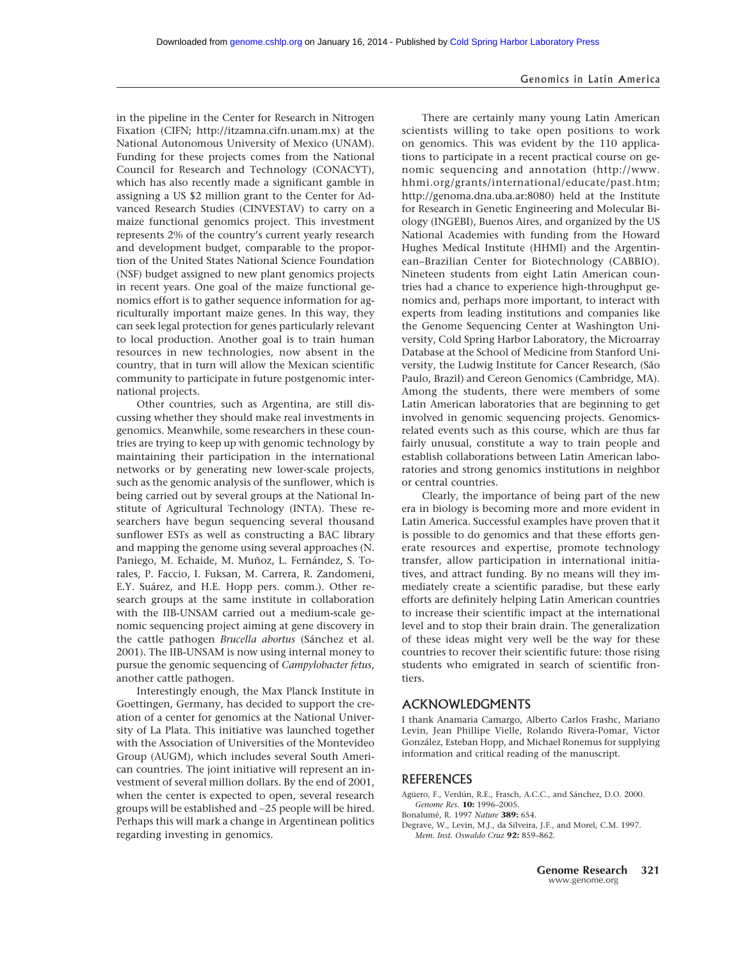in the pipeline in the Center for Research in Nitrogen Fixation (CIFN; http://itzamna.cifn.unam.mx) at the National Autonomous University of Mexico (UNAM). Funding for these projects comes from the National Council for Research and Technology (CONACYT), which has also recently made a significant gamble in assigning a US \$2 million grant to the Center for Advanced Research Studies (CINVESTAV) to carry on a maize functional genomics project. This investment represents 2% of the country's current yearly research and development budget, comparable to the proportion of the United States National Science Foundation (NSF) budget assigned to new plant genomics projects in recent years. One goal of the maize functional genomics effort is to gather sequence information for agriculturally important maize genes. In this way, they can seek legal protection for genes particularly relevant to local production. Another goal is to train human resources in new technologies, now absent in the country, that in turn will allow the Mexican scientific community to participate in future postgenomic international projects.

Other countries, such as Argentina, are still discussing whether they should make real investments in genomics. Meanwhile, some researchers in these countries are trying to keep up with genomic technology by maintaining their participation in the international networks or by generating new lower-scale projects, such as the genomic analysis of the sunflower, which is being carried out by several groups at the National Institute of Agricultural Technology (INTA). These researchers have begun sequencing several thousand sunflower ESTs as well as constructing a BAC library and mapping the genome using several approaches (N. Paniego, M. Echaide, M. Muñoz, L. Fernández, S. Torales, P. Faccio, I. Fuksan, M. Carrera, R. Zandomeni, E.Y. Suárez, and H.E. Hopp pers. comm.). Other research groups at the same institute in collaboration with the IIB-UNSAM carried out a medium-scale genomic sequencing project aiming at gene discovery in the cattle pathogen *Brucella abortus* (Sánchez et al. 2001). The IIB-UNSAM is now using internal money to pursue the genomic sequencing of *Campylobacter fetus*, another cattle pathogen.

Interestingly enough, the Max Planck Institute in Goettingen, Germany, has decided to support the creation of a center for genomics at the National University of La Plata. This initiative was launched together with the Association of Universities of the Montevideo Group (AUGM), which includes several South American countries. The joint initiative will represent an investment of several million dollars. By the end of 2001, when the center is expected to open, several research groups will be established and ∼25 people will be hired. Perhaps this will mark a change in Argentinean politics regarding investing in genomics.

There are certainly many young Latin American scientists willing to take open positions to work on genomics. This was evident by the 110 applications to participate in a recent practical course on genomic sequencing and annotation (http://www. hhmi.org/grants/international/educate/past.htm; http://genoma.dna.uba.ar:8080) held at the Institute for Research in Genetic Engineering and Molecular Biology (INGEBI), Buenos Aires, and organized by the US National Academies with funding from the Howard Hughes Medical Institute (HHMI) and the Argentinean–Brazilian Center for Biotechnology (CABBIO). Nineteen students from eight Latin American countries had a chance to experience high-throughput genomics and, perhaps more important, to interact with experts from leading institutions and companies like the Genome Sequencing Center at Washington University, Cold Spring Harbor Laboratory, the Microarray Database at the School of Medicine from Stanford University, the Ludwig Institute for Cancer Research, (São Paulo, Brazil) and Cereon Genomics (Cambridge, MA). Among the students, there were members of some Latin American laboratories that are beginning to get involved in genomic sequencing projects. Genomicsrelated events such as this course, which are thus far fairly unusual, constitute a way to train people and establish collaborations between Latin American laboratories and strong genomics institutions in neighbor or central countries.

Clearly, the importance of being part of the new era in biology is becoming more and more evident in Latin America. Successful examples have proven that it is possible to do genomics and that these efforts generate resources and expertise, promote technology transfer, allow participation in international initiatives, and attract funding. By no means will they immediately create a scientific paradise, but these early efforts are definitely helping Latin American countries to increase their scientific impact at the international level and to stop their brain drain. The generalization of these ideas might very well be the way for these countries to recover their scientific future: those rising students who emigrated in search of scientific frontiers.

#### ACKNOWLEDGMENTS

I thank Anamaria Camargo, Alberto Carlos Frashc, Mariano Levin, Jean Phillipe Vielle, Rolando Rivera-Pomar, Victor González, Esteban Hopp, and Michael Ronemus for supplying information and critical reading of the manuscript.

#### REFERENCES

Agüero, F., Verdún, R.E., Frasch, A.C.C., and Sánchez, D.O. 2000. *Genome Res.* **10:** 1996–2005.

- Bonalume´, R. 1997 *Nature* **389:** 654.
- Degrave, W., Levin, M.J., da Silveira, J.F., and Morel, C.M. 1997. *Mem. Inst. Oswaldo Cruz* **92:** 859–862.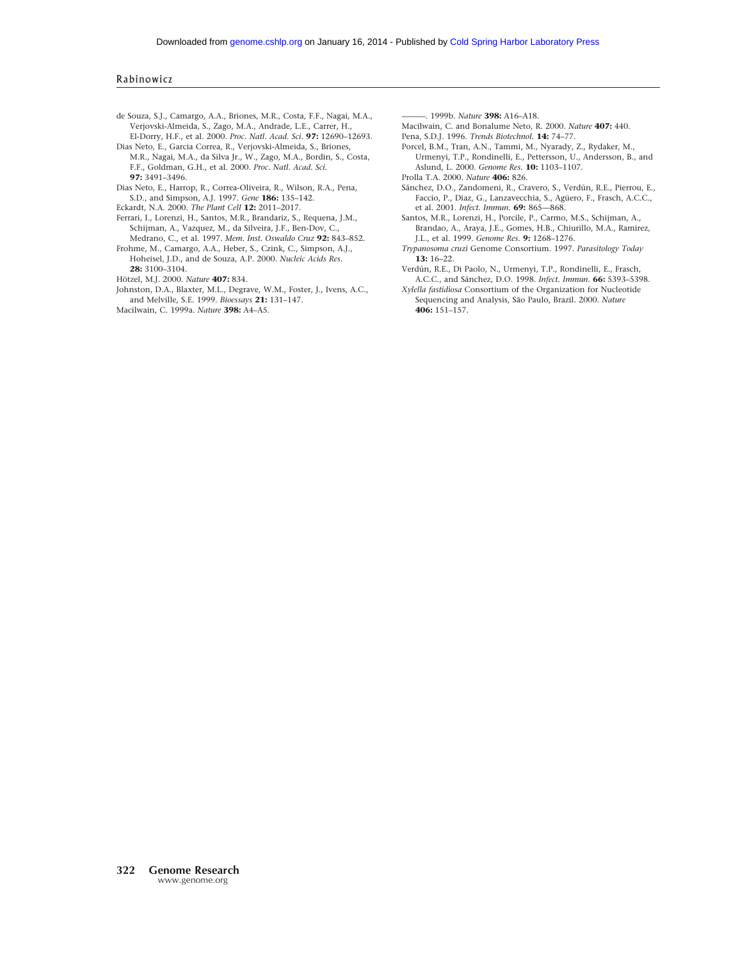#### Rabinowicz

de Souza, S.J., Camargo, A.A., Briones, M.R., Costa, F.F., Nagai, M.A., Verjovski-Almeida, S., Zago, M.A., Andrade, L.E., Carrer, H., El-Dorry, H.F., et al. 2000. *Proc. Natl. Acad. Sci.* **97:** 12690–12693.

Dias Neto, E., Garcia Correa, R., Verjovski-Almeida, S., Briones, M.R., Nagai, M.A., da Silva Jr., W., Zago, M.A., Bordin, S., Costa, F.F., Goldman, G.H., et al. 2000. *Proc. Natl. Acad. Sci.* **97:** 3491–3496.

Dias Neto, E., Harrop, R., Correa-Oliveira, R., Wilson, R.A., Pena, S.D., and Simpson, A.J. 1997. *Gene* **186:** 135–142.

Eckardt, N.A. 2000. *The Plant Cell* **12:** 2011–2017.

Ferrari, I., Lorenzi, H., Santos, M.R., Brandariz, S., Requena, J.M., Schijman, A., Vazquez, M., da Silveira, J.F., Ben-Dov, C., Medrano, C., et al. 1997. *Mem. Inst. Oswaldo Cruz* **92:** 843–852.

Frohme, M., Camargo, A.A., Heber, S., Czink, C., Simpson, A.J., Hoheisel, J.D., and de Souza, A.P. 2000. *Nucleic Acids Res.* **28:** 3100–3104.

Hötzel, M.J. 2000. *Nature* 407: 834.

Johnston, D.A., Blaxter, M.L., Degrave, W.M., Foster, J., Ivens, A.C., and Melville, S.E. 1999. *Bioessays* **21:** 131–147.

Macilwain, C. 1999a. *Nature* **398:** A4–A5.

———. 1999b. *Nature* **398:** A16–A18.

Macilwain, C. and Bonalume Neto, R. 2000. *Nature* **407:** 440.

Pena, S.D.J. 1996. *Trends Biotechnol.* **14:** 74–77.

Porcel, B.M., Tran, A.N., Tammi, M., Nyarady, Z., Rydaker, M., Urmenyi, T.P., Rondinelli, E., Pettersson, U., Andersson, B., and Aslund, L. 2000. *Genome Res.* **10:** 1103–1107.

Prolla T.A. 2000. *Nature* **406:** 826.

Sánchez, D.O., Zandomeni, R., Cravero, S., Verdún, R.E., Pierrou, E., Faccio, P., Diaz, G., Lanzavecchia, S., Agüero, F., Frasch, A.C.C., et al. 2001. *Infect. Immun.* **69:** 865—868.

Santos, M.R., Lorenzi, H., Porcile, P., Carmo, M.S., Schijman, A., Brandao, A., Araya, J.E., Gomes, H.B., Chiurillo, M.A., Ramirez, J.L., et al. 1999. *Genome Res.* **9:** 1268–1276.

- *Trypanosoma cruzi* Genome Consortium. 1997. *Parasitology Today* **13:** 16–22.
- Verdún, R.E., Di Paolo, N., Urmenyi, T.P., Rondinelli, E., Frasch, A.C.C., and Sa´nchez, D.O. 1998. *Infect. Immun.* **66:** 5393–5398.

*Xylella fastidiosa* Consortium of the Organization for Nucleotide Sequencing and Analysis, São Paulo, Brazil. 2000. Nature **406:** 151–157.